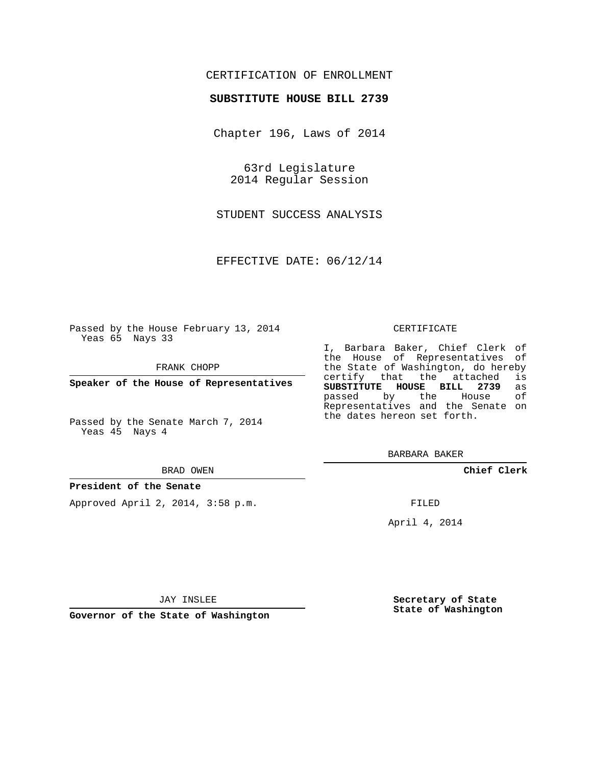### CERTIFICATION OF ENROLLMENT

### **SUBSTITUTE HOUSE BILL 2739**

Chapter 196, Laws of 2014

63rd Legislature 2014 Regular Session

STUDENT SUCCESS ANALYSIS

EFFECTIVE DATE: 06/12/14

Passed by the House February 13, 2014 Yeas 65 Nays 33

FRANK CHOPP

**Speaker of the House of Representatives**

Passed by the Senate March 7, 2014 Yeas 45 Nays 4

#### BRAD OWEN

### **President of the Senate**

Approved April 2, 2014, 3:58 p.m.

#### CERTIFICATE

I, Barbara Baker, Chief Clerk of the House of Representatives of the State of Washington, do hereby<br>certify that the attached is certify that the attached **SUBSTITUTE HOUSE BILL 2739** as passed by the Representatives and the Senate on the dates hereon set forth.

BARBARA BAKER

**Chief Clerk**

FILED

April 4, 2014

**Secretary of State State of Washington**

JAY INSLEE

**Governor of the State of Washington**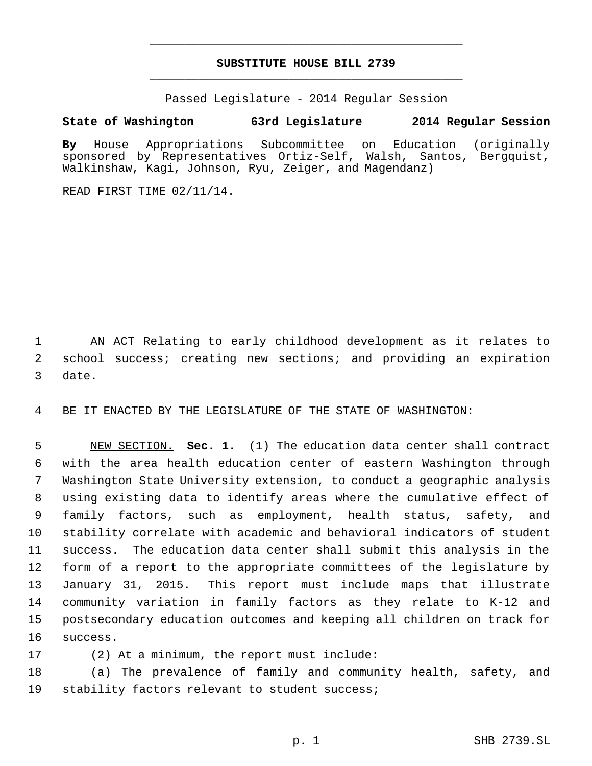# **SUBSTITUTE HOUSE BILL 2739** \_\_\_\_\_\_\_\_\_\_\_\_\_\_\_\_\_\_\_\_\_\_\_\_\_\_\_\_\_\_\_\_\_\_\_\_\_\_\_\_\_\_\_\_\_

\_\_\_\_\_\_\_\_\_\_\_\_\_\_\_\_\_\_\_\_\_\_\_\_\_\_\_\_\_\_\_\_\_\_\_\_\_\_\_\_\_\_\_\_\_

Passed Legislature - 2014 Regular Session

## **State of Washington 63rd Legislature 2014 Regular Session**

**By** House Appropriations Subcommittee on Education (originally sponsored by Representatives Ortiz-Self, Walsh, Santos, Bergquist, Walkinshaw, Kagi, Johnson, Ryu, Zeiger, and Magendanz)

READ FIRST TIME 02/11/14.

 AN ACT Relating to early childhood development as it relates to school success; creating new sections; and providing an expiration date.

BE IT ENACTED BY THE LEGISLATURE OF THE STATE OF WASHINGTON:

 NEW SECTION. **Sec. 1.** (1) The education data center shall contract with the area health education center of eastern Washington through Washington State University extension, to conduct a geographic analysis using existing data to identify areas where the cumulative effect of family factors, such as employment, health status, safety, and stability correlate with academic and behavioral indicators of student success. The education data center shall submit this analysis in the form of a report to the appropriate committees of the legislature by January 31, 2015. This report must include maps that illustrate community variation in family factors as they relate to K-12 and postsecondary education outcomes and keeping all children on track for success.

(2) At a minimum, the report must include:

 (a) The prevalence of family and community health, safety, and stability factors relevant to student success;